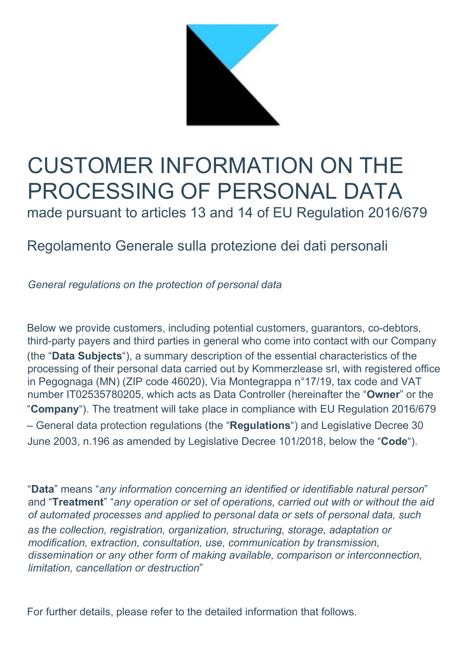

# CUSTOMER INFORMATION ON THE PROCESSING OF PERSONAL DATA

made pursuant to articles 13 and 14 of EU Regulation 2016/679

# Regolamento Generale sulla protezione dei dati personali

General regulations on the protection of personal data

Below we provide customers, including potential customers, guarantors, co-debtors, third-party payers and third parties in general who come into contact with our Company (the "Data Subjects"), a summary description of the essential characteristics of the processing of their personal data carried out by Kommerzlease srl, with registered office in Pegognaga (MN) (ZIP code 46020), Via Montegrappa n°17/19, tax code and VAT number IT02535780205, which acts as Data Controller (hereinafter the "Owner" or the "Company"). The treatment will take place in compliance with EU Regulation 2016/679 – General data protection regulations (the "Regulations") and Legislative Decree 30 June 2003, n.196 as amended by Legislative Decree 101/2018, below the "Code").

"Data" means "any information concerning an identified or identifiable natural person" and "Treatment" "any operation or set of operations, carried out with or without the aid of automated processes and applied to personal data or sets of personal data, such as the collection, registration, organization, structuring, storage, adaptation or modification, extraction, consultation, use, communication by transmission, dissemination or any other form of making available, comparison or interconnection, limitation, cancellation or destruction"

For further details, please refer to the detailed information that follows.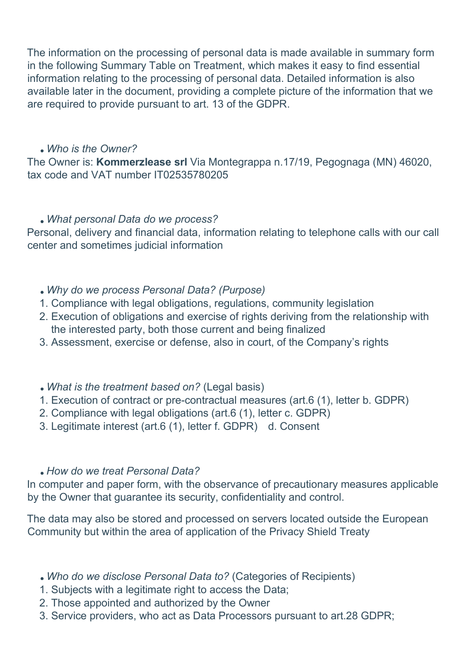The information on the processing of personal data is made available in summary form in the following Summary Table on Treatment, which makes it easy to find essential information relating to the processing of personal data. Detailed information is also available later in the document, providing a complete picture of the information that we are required to provide pursuant to art. 13 of the GDPR.

#### Who is the Owner?

The Owner is: Kommerzlease srl Via Montegrappa n.17/19, Pegognaga (MN) 46020, tax code and VAT number IT02535780205

#### What personal Data do we process?

Personal, delivery and financial data, information relating to telephone calls with our call center and sometimes judicial information

### Why do we process Personal Data? (Purpose)

- 1. Compliance with legal obligations, regulations, community legislation
- 2. Execution of obligations and exercise of rights deriving from the relationship with the interested party, both those current and being finalized
- 3. Assessment, exercise or defense, also in court, of the Company's rights

### What is the treatment based on? (Legal basis)

- 1. Execution of contract or pre-contractual measures (art.6 (1), letter b. GDPR)
- 2. Compliance with legal obligations (art.6 (1), letter c. GDPR)
- 3. Legitimate interest (art.6 (1), letter f. GDPR) d. Consent

### How do we treat Personal Data?

In computer and paper form, with the observance of precautionary measures applicable by the Owner that guarantee its security, confidentiality and control.

The data may also be stored and processed on servers located outside the European Community but within the area of application of the Privacy Shield Treaty

- Who do we disclose Personal Data to? (Categories of Recipients)
- 1. Subjects with a legitimate right to access the Data;
- 2. Those appointed and authorized by the Owner
- 3. Service providers, who act as Data Processors pursuant to art.28 GDPR;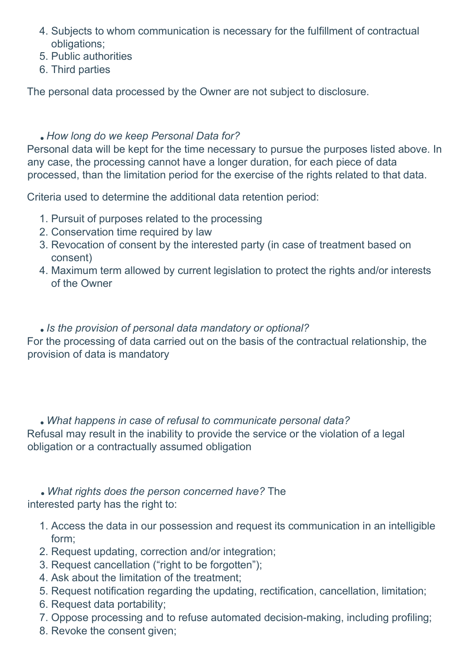- 4. Subjects to whom communication is necessary for the fulfillment of contractual obligations;
- 5. Public authorities
- 6. Third parties

The personal data processed by the Owner are not subject to disclosure.

# . How long do we keep Personal Data for?

Personal data will be kept for the time necessary to pursue the purposes listed above. In any case, the processing cannot have a longer duration, for each piece of data processed, than the limitation period for the exercise of the rights related to that data.

Criteria used to determine the additional data retention period:

- 1. Pursuit of purposes related to the processing
- 2. Conservation time required by law
- 3. Revocation of consent by the interested party (in case of treatment based on consent)
- 4. Maximum term allowed by current legislation to protect the rights and/or interests of the Owner

Is the provision of personal data mandatory or optional?

For the processing of data carried out on the basis of the contractual relationship, the provision of data is mandatory

 What happens in case of refusal to communicate personal data? Refusal may result in the inability to provide the service or the violation of a legal obligation or a contractually assumed obligation

 What rights does the person concerned have? The interested party has the right to:

- 1. Access the data in our possession and request its communication in an intelligible form;
- 2. Request updating, correction and/or integration;
- 3. Request cancellation ("right to be forgotten");
- 4. Ask about the limitation of the treatment;
- 5. Request notification regarding the updating, rectification, cancellation, limitation;
- 6. Request data portability;
- 7. Oppose processing and to refuse automated decision-making, including profiling;
- 8. Revoke the consent given;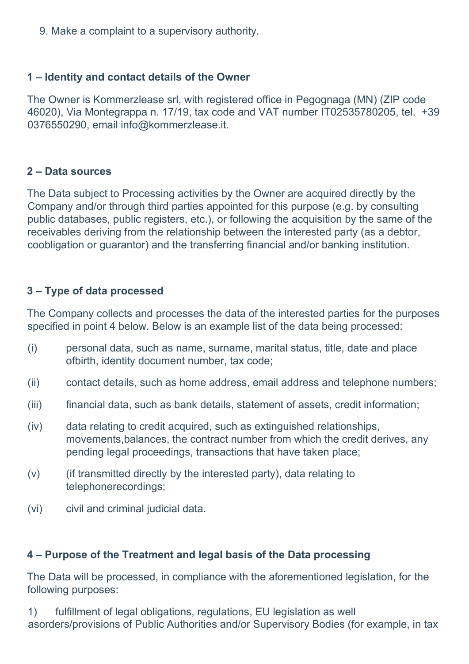9. Make a complaint to a supervisory authority.

# 1 – Identity and contact details of the Owner

The Owner is Kommerzlease srl, with registered office in Pegognaga (MN) (ZIP code 46020), Via Montegrappa n. 17/19, tax code and VAT number IT02535780205, tel. +39 0376550290, email info@kommerzlease.it.

## 2 – Data sources

The Data subject to Processing activities by the Owner are acquired directly by the Company and/or through third parties appointed for this purpose (e.g. by consulting public databases, public registers, etc.), or following the acquisition by the same of the receivables deriving from the relationship between the interested party (as a debtor, coobligation or guarantor) and the transferring financial and/or banking institution.

# 3 – Type of data processed

The Company collects and processes the data of the interested parties for the purposes specified in point 4 below. Below is an example list of the data being processed:

- (i) personal data, such as name, surname, marital status, title, date and place ofbirth, identity document number, tax code;
- (ii) contact details, such as home address, email address and telephone numbers;
- (iii) financial data, such as bank details, statement of assets, credit information;
- (iv) data relating to credit acquired, such as extinguished relationships, movements,balances, the contract number from which the credit derives, any pending legal proceedings, transactions that have taken place;
- $(v)$  (if transmitted directly by the interested party), data relating to telephonerecordings;
- (vi) civil and criminal judicial data.

# 4 – Purpose of the Treatment and legal basis of the Data processing

The Data will be processed, in compliance with the aforementioned legislation, for the following purposes:

1) fulfillment of legal obligations, regulations, EU legislation as well asorders/provisions of Public Authorities and/or Supervisory Bodies (for example, in tax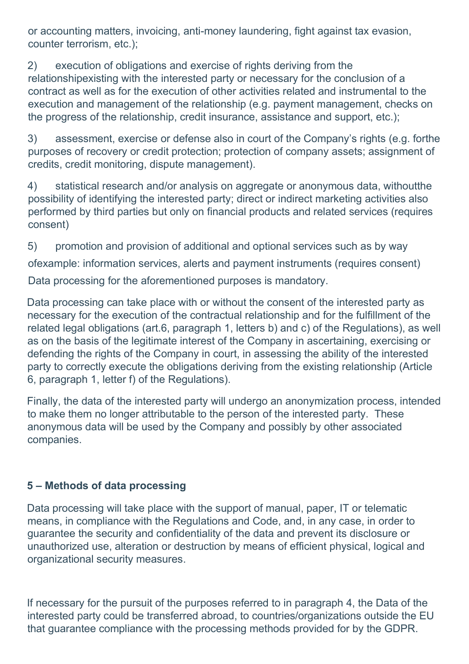or accounting matters, invoicing, anti-money laundering, fight against tax evasion, counter terrorism, etc.);

2) execution of obligations and exercise of rights deriving from the relationshipexisting with the interested party or necessary for the conclusion of a contract as well as for the execution of other activities related and instrumental to the execution and management of the relationship (e.g. payment management, checks on the progress of the relationship, credit insurance, assistance and support, etc.);

3) assessment, exercise or defense also in court of the Company's rights (e.g. forthe purposes of recovery or credit protection; protection of company assets; assignment of credits, credit monitoring, dispute management).

4) statistical research and/or analysis on aggregate or anonymous data, withoutthe possibility of identifying the interested party; direct or indirect marketing activities also performed by third parties but only on financial products and related services (requires consent)

5) promotion and provision of additional and optional services such as by way

ofexample: information services, alerts and payment instruments (requires consent)

Data processing for the aforementioned purposes is mandatory.

Data processing can take place with or without the consent of the interested party as necessary for the execution of the contractual relationship and for the fulfillment of the related legal obligations (art.6, paragraph 1, letters b) and c) of the Regulations), as well as on the basis of the legitimate interest of the Company in ascertaining, exercising or defending the rights of the Company in court, in assessing the ability of the interested party to correctly execute the obligations deriving from the existing relationship (Article 6, paragraph 1, letter f) of the Regulations).

Finally, the data of the interested party will undergo an anonymization process, intended to make them no longer attributable to the person of the interested party. These anonymous data will be used by the Company and possibly by other associated companies.

# 5 – Methods of data processing

Data processing will take place with the support of manual, paper, IT or telematic means, in compliance with the Regulations and Code, and, in any case, in order to guarantee the security and confidentiality of the data and prevent its disclosure or unauthorized use, alteration or destruction by means of efficient physical, logical and organizational security measures.

If necessary for the pursuit of the purposes referred to in paragraph 4, the Data of the interested party could be transferred abroad, to countries/organizations outside the EU that guarantee compliance with the processing methods provided for by the GDPR.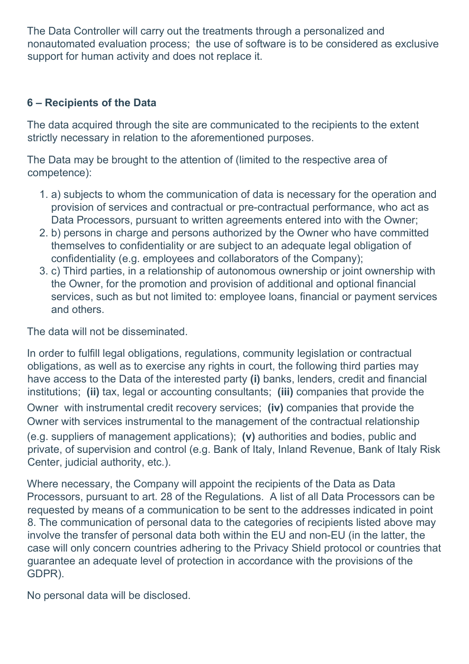The Data Controller will carry out the treatments through a personalized and nonautomated evaluation process; the use of software is to be considered as exclusive support for human activity and does not replace it.

# 6 – Recipients of the Data

The data acquired through the site are communicated to the recipients to the extent strictly necessary in relation to the aforementioned purposes.

The Data may be brought to the attention of (limited to the respective area of competence):

- 1. a) subjects to whom the communication of data is necessary for the operation and provision of services and contractual or pre-contractual performance, who act as Data Processors, pursuant to written agreements entered into with the Owner;
- 2. b) persons in charge and persons authorized by the Owner who have committed themselves to confidentiality or are subject to an adequate legal obligation of confidentiality (e.g. employees and collaborators of the Company);
- 3. c) Third parties, in a relationship of autonomous ownership or joint ownership with the Owner, for the promotion and provision of additional and optional financial services, such as but not limited to: employee loans, financial or payment services and others.

The data will not be disseminated.

In order to fulfill legal obligations, regulations, community legislation or contractual obligations, as well as to exercise any rights in court, the following third parties may have access to the Data of the interested party (i) banks, lenders, credit and financial institutions; (ii) tax, legal or accounting consultants; (iii) companies that provide the Owner with instrumental credit recovery services; (iv) companies that provide the Owner with services instrumental to the management of the contractual relationship (e.g. suppliers of management applications); (v) authorities and bodies, public and private, of supervision and control (e.g. Bank of Italy, Inland Revenue, Bank of Italy Risk Center, judicial authority, etc.).

Where necessary, the Company will appoint the recipients of the Data as Data Processors, pursuant to art. 28 of the Regulations. A list of all Data Processors can be requested by means of a communication to be sent to the addresses indicated in point 8. The communication of personal data to the categories of recipients listed above may involve the transfer of personal data both within the EU and non-EU (in the latter, the case will only concern countries adhering to the Privacy Shield protocol or countries that guarantee an adequate level of protection in accordance with the provisions of the GDPR).

No personal data will be disclosed.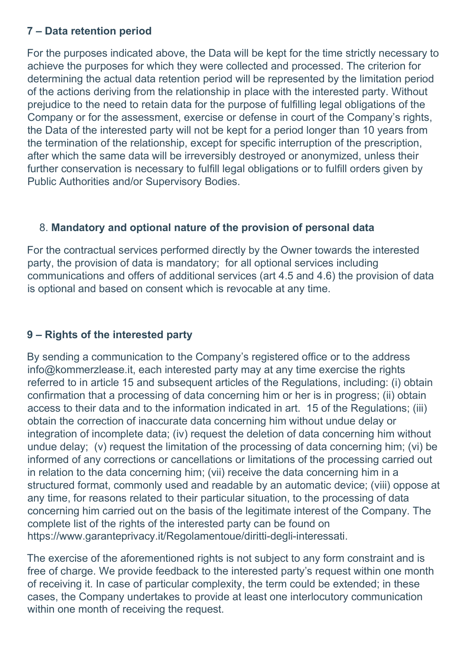# 7 – Data retention period

For the purposes indicated above, the Data will be kept for the time strictly necessary to achieve the purposes for which they were collected and processed. The criterion for determining the actual data retention period will be represented by the limitation period of the actions deriving from the relationship in place with the interested party. Without prejudice to the need to retain data for the purpose of fulfilling legal obligations of the Company or for the assessment, exercise or defense in court of the Company's rights, the Data of the interested party will not be kept for a period longer than 10 years from the termination of the relationship, except for specific interruption of the prescription, after which the same data will be irreversibly destroyed or anonymized, unless their further conservation is necessary to fulfill legal obligations or to fulfill orders given by Public Authorities and/or Supervisory Bodies.

# 8. Mandatory and optional nature of the provision of personal data

For the contractual services performed directly by the Owner towards the interested party, the provision of data is mandatory; for all optional services including communications and offers of additional services (art 4.5 and 4.6) the provision of data is optional and based on consent which is revocable at any time.

# 9 – Rights of the interested party

By sending a communication to the Company's registered office or to the address info@kommerzlease.it, each interested party may at any time exercise the rights referred to in article 15 and subsequent articles of the Regulations, including: (i) obtain confirmation that a processing of data concerning him or her is in progress; (ii) obtain access to their data and to the information indicated in art. 15 of the Regulations; (iii) obtain the correction of inaccurate data concerning him without undue delay or integration of incomplete data; (iv) request the deletion of data concerning him without undue delay; (v) request the limitation of the processing of data concerning him; (vi) be informed of any corrections or cancellations or limitations of the processing carried out in relation to the data concerning him; (vii) receive the data concerning him in a structured format, commonly used and readable by an automatic device; (viii) oppose at any time, for reasons related to their particular situation, to the processing of data concerning him carried out on the basis of the legitimate interest of the Company. The complete list of the rights of the interested party can be found on https://www.garanteprivacy.it/Regolamentoue/diritti-degli-interessati.

The exercise of the aforementioned rights is not subject to any form constraint and is free of charge. We provide feedback to the interested party's request within one month of receiving it. In case of particular complexity, the term could be extended; in these cases, the Company undertakes to provide at least one interlocutory communication within one month of receiving the request.